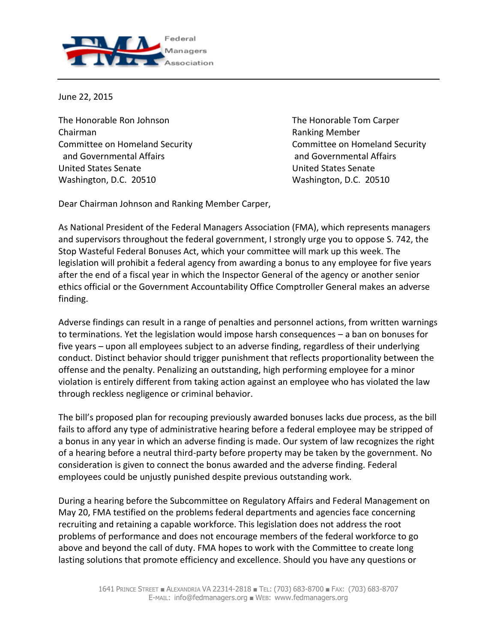

June 22, 2015

The Honorable Ron Johnson The Honorable Tom Carper Chairman **Chairman** Chairman Chairman Chairman Chairman Chairman Chairman Chairman Chairman Chairman Chairman Chairman Chairman Chairman Chairman Chairman Chairman Chairman Chairman Chairman Chairman Chairman Chairman Chai and Governmental Affairs and Governmental Affairs United States Senate United States Senate Washington, D.C. 20510 Washington, D.C. 20510

Committee on Homeland Security Committee on Homeland Security

Dear Chairman Johnson and Ranking Member Carper,

As National President of the Federal Managers Association (FMA), which represents managers and supervisors throughout the federal government, I strongly urge you to oppose S. 742, the Stop Wasteful Federal Bonuses Act, which your committee will mark up this week. The legislation will prohibit a federal agency from awarding a bonus to any employee for five years after the end of a fiscal year in which the Inspector General of the agency or another senior ethics official or the Government Accountability Office Comptroller General makes an adverse finding.

Adverse findings can result in a range of penalties and personnel actions, from written warnings to terminations. Yet the legislation would impose harsh consequences – a ban on bonuses for five years – upon all employees subject to an adverse finding, regardless of their underlying conduct. Distinct behavior should trigger punishment that reflects proportionality between the offense and the penalty. Penalizing an outstanding, high performing employee for a minor violation is entirely different from taking action against an employee who has violated the law through reckless negligence or criminal behavior.

The bill's proposed plan for recouping previously awarded bonuses lacks due process, as the bill fails to afford any type of administrative hearing before a federal employee may be stripped of a bonus in any year in which an adverse finding is made. Our system of law recognizes the right of a hearing before a neutral third-party before property may be taken by the government. No consideration is given to connect the bonus awarded and the adverse finding. Federal employees could be unjustly punished despite previous outstanding work.

During a hearing before the Subcommittee on Regulatory Affairs and Federal Management on May 20, FMA testified on the problems federal departments and agencies face concerning recruiting and retaining a capable workforce. This legislation does not address the root problems of performance and does not encourage members of the federal workforce to go above and beyond the call of duty. FMA hopes to work with the Committee to create long lasting solutions that promote efficiency and excellence. Should you have any questions or